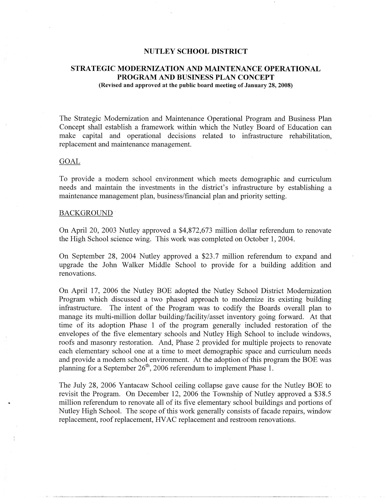# **NUTLEY SCHOOL DISTRICT**

# **STRATEGIC MODERNIZATION AND MAINTENANCE OPERATIONAL PROGRAM AND BUSINESS PLAN CONCEPT (Revised and approved at the public board meeting of January 28, 2008)**

The Strategic Modernization and Maintenance Operational Program and Business Plan Concept shall establish a framework within which the Nutley Board of Education can make capital and operational decisions related to infrastructure rehabilitation, replacement and maintenance management.

#### GOAL

To provide a modern school environment which meets demographic and curriculum needs and maintain the investments in the district's infrastructure by establishing a maintenance management plan, business/financial plan and priority setting.

## **BACKGROUND**

On April 20, 2003 Nutley approved a \$4,872,673 million dollar referendum to renovate the High School science wing. This work was completed on October 1, 2004.

On September 28, 2004 Nutley approved a \$23.7 million referendum to expand and upgrade the John Walker Middle School to provide for a building addition and renovations.

On April 17, 2006 the Nutley BOE adopted the Nutley School District Modernization Program which discussed a two phased approach to modernize its existing building infrastructure. The intent of the Program was to codify the Boards overall plan to manage its multi-million dollar building/facility/asset inventory going forward. At that time of its adoption Phase 1 of the program generally included restoration of the envelopes of the five elementary schools and Nutley High School to include windows, roofs and masonry restoration. And, Phase 2 provided for multiple projects to renovate each elementary school one at a time to meet demographic space and curriculum needs and provide a modern school environment. At the adoption of this program the BOE was planning for a September  $26<sup>th</sup>$ , 2006 referendum to implement Phase 1.

The July 28, 2006 Yantacaw School ceiling collapse gave cause for the Nutley BOE to revisit the Program. On December 12, 2006 the Township of Nutley approved a \$38.5 million referendum to renovate all of its five elementary school buildings and portions of Nutley High School. The scope of this work generally consists of facade repairs, window replacement, roof replacement, HV AC replacement and restroom renovations.